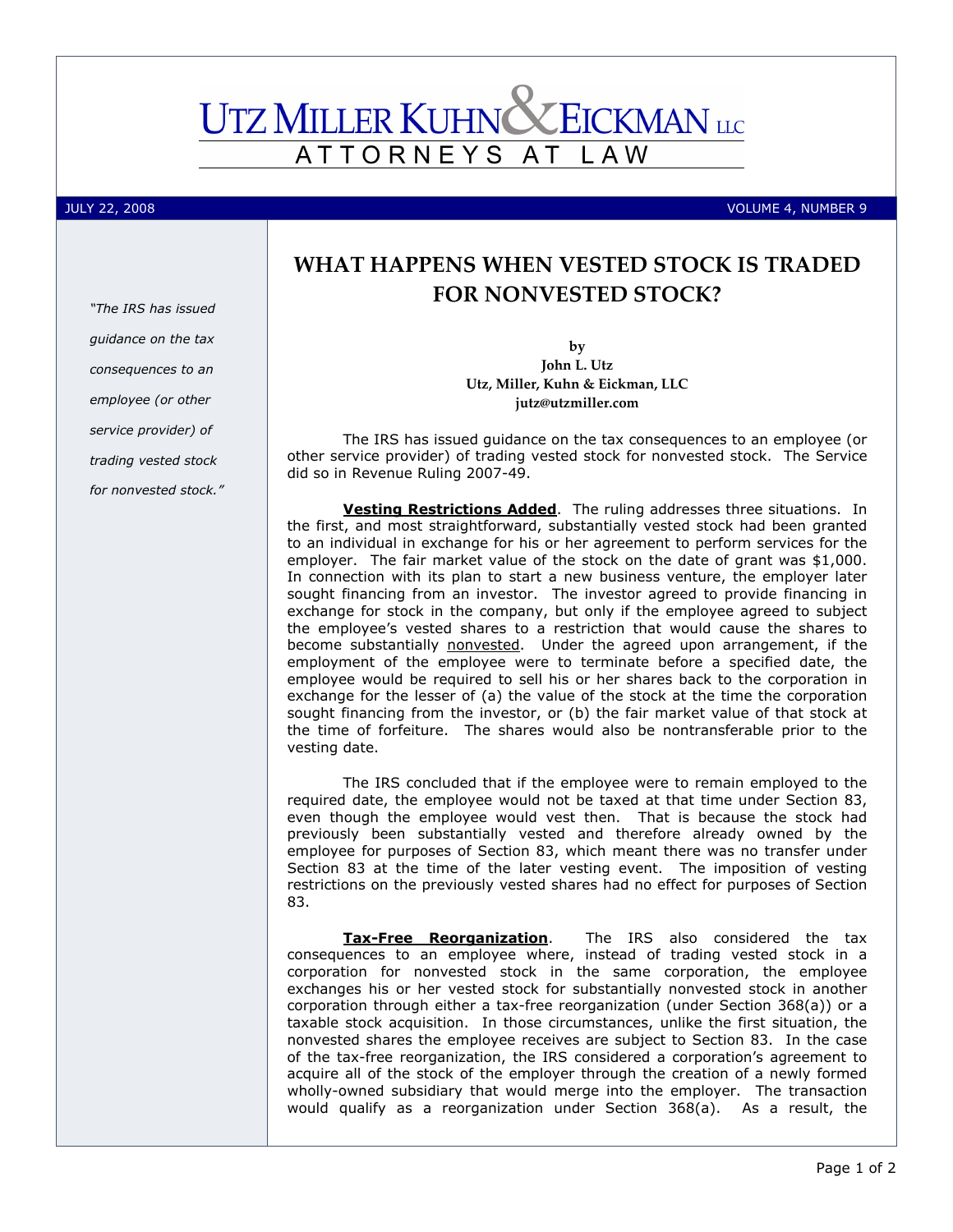# **UTZ MILLER KUHN X EICKMAN** LLC ATTORNEYS AT L A W

"The IRS has issued guidance on the tax consequences to an employee (or other service provider) of trading vested stock for nonvested stock."

JULY 22, 2008 VOLUME 4, NUMBER 9

## WHAT HAPPENS WHEN VESTED STOCK IS TRADED FOR NONVESTED STOCK?

by John L. Utz Utz, Miller, Kuhn & Eickman, LLC jutz@utzmiller.com

The IRS has issued guidance on the tax consequences to an employee (or other service provider) of trading vested stock for nonvested stock. The Service did so in Revenue Ruling 2007-49.

Vesting Restrictions Added. The ruling addresses three situations. In the first, and most straightforward, substantially vested stock had been granted to an individual in exchange for his or her agreement to perform services for the employer. The fair market value of the stock on the date of grant was \$1,000. In connection with its plan to start a new business venture, the employer later sought financing from an investor. The investor agreed to provide financing in exchange for stock in the company, but only if the employee agreed to subject the employee's vested shares to a restriction that would cause the shares to become substantially nonvested. Under the agreed upon arrangement, if the employment of the employee were to terminate before a specified date, the employee would be required to sell his or her shares back to the corporation in exchange for the lesser of (a) the value of the stock at the time the corporation sought financing from the investor, or (b) the fair market value of that stock at the time of forfeiture. The shares would also be nontransferable prior to the vesting date.

The IRS concluded that if the employee were to remain employed to the required date, the employee would not be taxed at that time under Section 83, even though the employee would vest then. That is because the stock had previously been substantially vested and therefore already owned by the employee for purposes of Section 83, which meant there was no transfer under Section 83 at the time of the later vesting event. The imposition of vesting restrictions on the previously vested shares had no effect for purposes of Section 83.

Tax-Free Reorganization. The IRS also considered the tax consequences to an employee where, instead of trading vested stock in a corporation for nonvested stock in the same corporation, the employee exchanges his or her vested stock for substantially nonvested stock in another corporation through either a tax-free reorganization (under Section 368(a)) or a taxable stock acquisition. In those circumstances, unlike the first situation, the nonvested shares the employee receives are subject to Section 83. In the case of the tax-free reorganization, the IRS considered a corporation's agreement to acquire all of the stock of the employer through the creation of a newly formed wholly-owned subsidiary that would merge into the employer. The transaction would qualify as a reorganization under Section 368(a). As a result, the